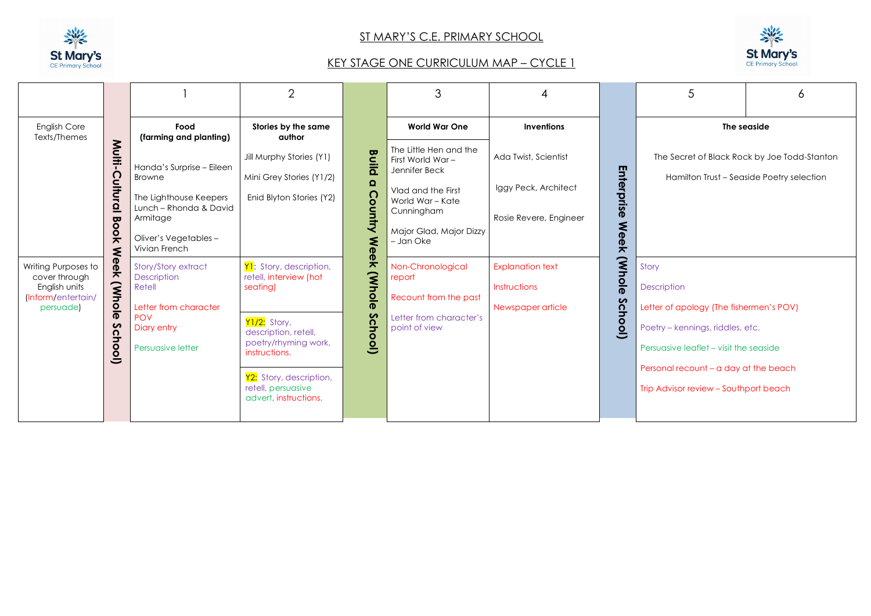

## ST MARY'S C.E. PRIMARY SCHOOL

## KEY STAGE ONE CURRICULUM MAP – CYCLE 1



|                                                                                                                                                                                                                                                                                                                |                                                                                                                                                                                                                                                                         | $\overline{2}$                                                                                                                                                                                                                                                                                               |                                                                                      | 3                                                                                                                                                                                                                                                               | 4                                                                                                                                      |                                                              | 5                                                                                                                                                                                                                                      | 6                                                                                         |  |  |
|----------------------------------------------------------------------------------------------------------------------------------------------------------------------------------------------------------------------------------------------------------------------------------------------------------------|-------------------------------------------------------------------------------------------------------------------------------------------------------------------------------------------------------------------------------------------------------------------------|--------------------------------------------------------------------------------------------------------------------------------------------------------------------------------------------------------------------------------------------------------------------------------------------------------------|--------------------------------------------------------------------------------------|-----------------------------------------------------------------------------------------------------------------------------------------------------------------------------------------------------------------------------------------------------------------|----------------------------------------------------------------------------------------------------------------------------------------|--------------------------------------------------------------|----------------------------------------------------------------------------------------------------------------------------------------------------------------------------------------------------------------------------------------|-------------------------------------------------------------------------------------------|--|--|
| <b>English Core</b><br>Texts/Themes                                                                                                                                                                                                                                                                            | Food<br>(farming and planting)                                                                                                                                                                                                                                          | Stories by the same<br>author                                                                                                                                                                                                                                                                                |                                                                                      |                                                                                                                                                                                                                                                                 | <b>Inventions</b>                                                                                                                      |                                                              | The seaside                                                                                                                                                                                                                            |                                                                                           |  |  |
| Multi-<br>Cultural<br><b>Po</b><br>$\frac{1}{2}$<br>₹<br>$\mathbf{P}$<br>Writing Purposes to<br>$\overline{\pi}$<br>cover through<br>$\widetilde{\mathbf{S}}$<br>English units<br>(Inform/entertain/<br>$\frac{\overline{Q}}{\overline{P}}$<br>persuade)<br>$\boldsymbol{\mathsf{c}}$<br>$\Omega$<br>ᇰ<br>(loo | Handa's Surprise - Eileen<br>Browne<br>The Lighthouse Keepers<br>Lunch - Rhonda & David<br>Armitage<br>Oliver's Vegetables-<br>Vivian French<br>Story/Story extract<br>Description<br>Retell<br>Letter from character<br><b>POV</b><br>Diary entry<br>Persuasive letter | Jill Murphy Stories (Y1)<br>Mini Grey Stories (Y1/2)<br>Enid Blyton Stories (Y2)<br>Y1: Story, description,<br>retell, interview (hot<br>seating)<br>Y1/2: Story,<br>description, retell,<br>poetry/rhyming work,<br>instructions.<br>Y2: Story, description,<br>retell, persuasive<br>advert, instructions. | <b>Build</b><br>$\Omega$<br>Country<br>₹<br>$\overline{0}$<br>웃<br>(Whole<br>School) | The Little Hen and the<br>First World War-<br>Jennifer Beck<br>Vlad and the First<br>World War - Kate<br>Cunningham<br>Major Glad, Major Dizzy<br>– Jan Oke<br>Non-Chronological<br>report<br>Recount from the past<br>Letter from character's<br>point of view | Ada Twist, Scientist<br>Iggy Peck, Architect<br>Rosie Revere, Engineer<br><b>Explanation text</b><br>Instructions<br>Newspaper article | Enterprise<br><b>Meek</b><br>(Whole<br>S<br>ğ<br><u>jool</u> | Story<br><b>Description</b><br>Letter of apology (The fishermen's POV)<br>Poetry - kennings, riddles, etc.<br>Persuasive leaflet - visit the seaside<br>Personal recount - a day at the beach<br>Trip Advisor review - Southport beach | The Secret of Black Rock by Joe Todd-Stanton<br>Hamilton Trust - Seaside Poetry selection |  |  |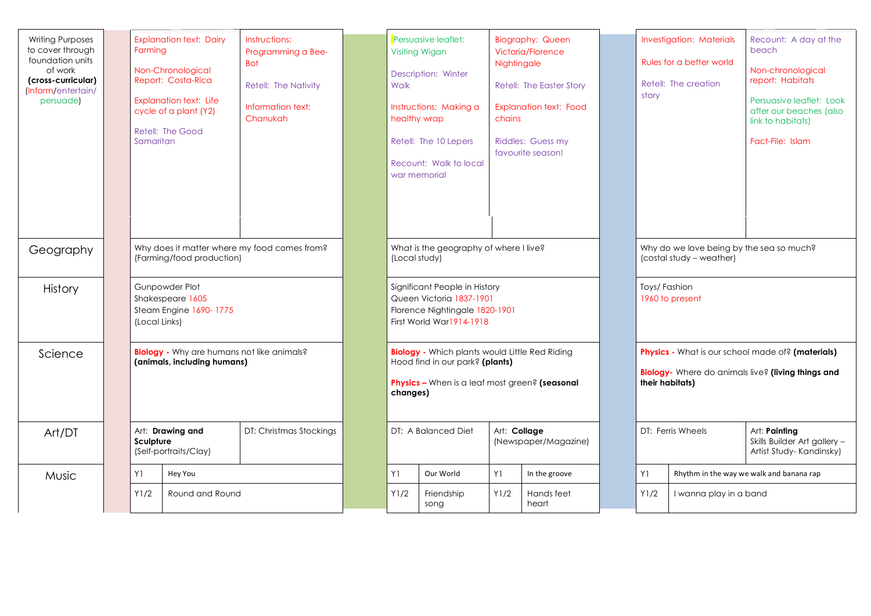| <b>Writing Purposes</b><br>to cover through<br>foundation units<br>of work<br>(cross-curricular)<br>(Inform/entertain/<br>persuade) | Farmina<br>Samaritan                                                             | <b>Explanation text: Dairy</b><br>Non-Chronological<br>Report: Costa-Rica<br><b>Explanation text: Life</b><br>cycle of a plant (Y2)<br>Retell: The Good | Instructions:<br>Programming a Bee-<br><b>Bot</b><br>Retell: The Nativity<br>Information text:<br>Chanukah | Walk<br>healthy wrap                                                                                                                                   | Persuasive leaflet:<br><b>Visiting Wigan</b><br>Description: Winter<br>Instructions: Making a<br>Retell: The 10 Lepers<br>Recount: Walk to local<br>war memorial | Nightingale<br>chains | <b>Biography: Queen</b><br>Victoria/Florence<br>Retell: The Easter Story<br><b>Explanation text: Food</b><br>Riddles: Guess my<br>favourite season! |                                                                                                                            | story | <b>Investigation: Materials</b><br>Rules for a better world<br>Retell: The creation | Recount: A day at the<br>beach<br>Non-chronological<br>report: Habitats<br>Persuasive leaflet: Look<br>after our beaches (also<br>link to habitats)<br>Fact-File: Islam |
|-------------------------------------------------------------------------------------------------------------------------------------|----------------------------------------------------------------------------------|---------------------------------------------------------------------------------------------------------------------------------------------------------|------------------------------------------------------------------------------------------------------------|--------------------------------------------------------------------------------------------------------------------------------------------------------|------------------------------------------------------------------------------------------------------------------------------------------------------------------|-----------------------|-----------------------------------------------------------------------------------------------------------------------------------------------------|----------------------------------------------------------------------------------------------------------------------------|-------|-------------------------------------------------------------------------------------|-------------------------------------------------------------------------------------------------------------------------------------------------------------------------|
| Geography                                                                                                                           | Why does it matter where my food comes from?<br>(Farming/food production)        |                                                                                                                                                         | What is the geography of where I live?<br>(Local study)                                                    |                                                                                                                                                        |                                                                                                                                                                  |                       |                                                                                                                                                     | Why do we love being by the sea so much?<br>(costal study - weather)                                                       |       |                                                                                     |                                                                                                                                                                         |
| <b>History</b>                                                                                                                      | Gunpowder Plot<br>Shakespeare 1605<br>Steam Engine 1690-1775<br>(Local Links)    |                                                                                                                                                         |                                                                                                            | Significant People in History<br>Queen Victoria 1837-1901<br>Florence Nightingale 1820-1901<br>First World War1914-1918                                |                                                                                                                                                                  |                       |                                                                                                                                                     | Toys/Fashion<br>1960 to present                                                                                            |       |                                                                                     |                                                                                                                                                                         |
| Science                                                                                                                             | <b>Biology</b> - Why are humans not like animals?<br>(animals, including humans) |                                                                                                                                                         |                                                                                                            | <b>Biology</b> - Which plants would Little Red Riding<br>Hood find in our park? (plants)<br>Physics - When is a leaf most green? (seasonal<br>changes) |                                                                                                                                                                  |                       |                                                                                                                                                     | Physics - What is our school made of? (materials)<br>Biology- Where do animals live? (living things and<br>their habitats) |       |                                                                                     |                                                                                                                                                                         |
| Art/DT                                                                                                                              | Sculpture                                                                        | Art: Drawing and<br>(Self-portraits/Clay)                                                                                                               | DT: Christmas Stockings                                                                                    |                                                                                                                                                        | Art: Collage<br>DT: A Balanced Diet<br>(Newspaper/Magazine)                                                                                                      |                       |                                                                                                                                                     | DT: Ferris Wheels<br>Art: Painting                                                                                         |       | Skills Builder Art gallery -<br>Artist Study-Kandinsky)                             |                                                                                                                                                                         |
| Music                                                                                                                               | Y1                                                                               | Hey You                                                                                                                                                 |                                                                                                            | Y1                                                                                                                                                     | Our World                                                                                                                                                        | Y1                    | In the groove                                                                                                                                       |                                                                                                                            | Y1    |                                                                                     | Rhythm in the way we walk and banana rap                                                                                                                                |
|                                                                                                                                     | Y1/2                                                                             | Round and Round                                                                                                                                         |                                                                                                            | Y1/2                                                                                                                                                   | Friendship<br>song                                                                                                                                               | Y1/2                  | Hands feet<br>heart                                                                                                                                 |                                                                                                                            | Y1/2  | I wanna play in a band                                                              |                                                                                                                                                                         |